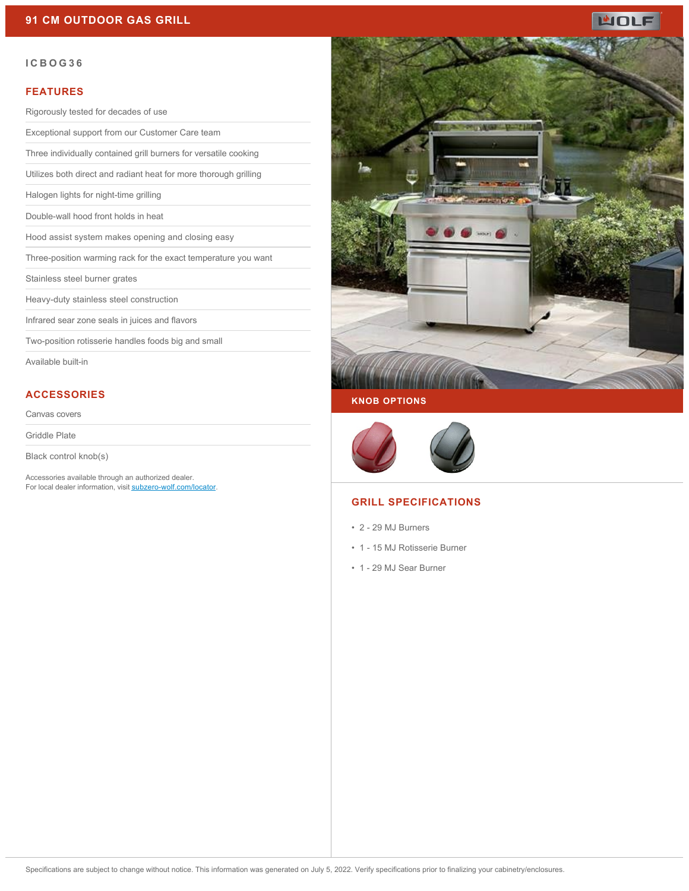

#### **ICBOG36**

#### **FEATURES**

Rigorously tested for decades of use

Exceptional support from our Customer Care team

Three individually contained grill burners for versatile cooking

Utilizes both direct and radiant heat for more thorough grilling

Halogen lights for night-time grilling

Double-wall hood front holds in heat

Hood assist system makes opening and closing easy

Three-position warming rack for the exact temperature you want

Stainless steel burner grates

Heavy-duty stainless steel construction

Infrared sear zone seals in juices and flavors

Two-position rotisserie handles foods big and small

Available built-in

#### **ACCESSORIES**

Canvas covers

Griddle Plate

Black control knob(s)

Accessories available through an authorized dealer. For local dealer information, visit [subzero-wolf.com/locator.](http://www.subzero-wolf.com/locator)



#### **KNOB OPTIONS**



### **GRILL SPECIFICATIONS**

- 2 29 MJ Burners
- 1 15 MJ Rotisserie Burner
- 1 29 MJ Sear Burner